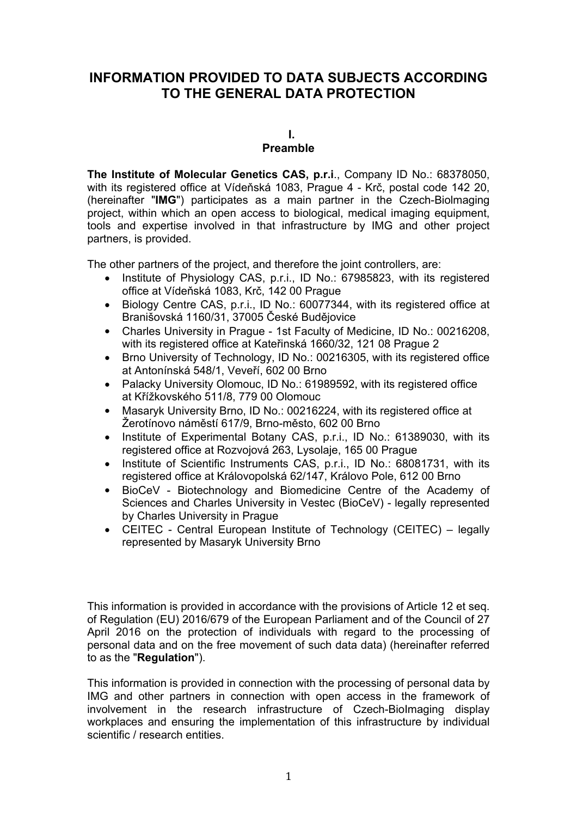# **INFORMATION PROVIDED TO DATA SUBJECTS ACCORDING TO THE GENERAL DATA PROTECTION**

**I.**

# **Preamble**

**The Institute of Molecular Genetics CAS, p.r.i**., Company ID No.: 68378050, with its registered office at Vídeňská 1083, Prague 4 - Krč, postal code 142 20, (hereinafter "**IMG**") participates as a main partner in the Czech-Biolmaging project, within which an open access to biological, medical imaging equipment, tools and expertise involved in that infrastructure by IMG and other project partners, is provided.

The other partners of the project, and therefore the joint controllers, are:

- Institute of Physiology CAS, p.r.i., ID No.: 67985823, with its registered office at Vídeňská 1083, Krč, 142 00 Prague
- Biology Centre CAS, p.r.i., ID No.: 60077344, with its registered office at Branišovská 1160/31, 37005 České Budějovice
- Charles University in Prague 1st Faculty of Medicine, ID No.: 00216208, with its registered office at Kateřinská 1660/32, 121 08 Prague 2
- Brno University of Technology, ID No.: 00216305, with its registered office at Antonínská 548/1, Veveří, 602 00 Brno
- Palacky University Olomouc, ID No.: 61989592, with its registered office at Křížkovského 511/8, 779 00 Olomouc
- Masaryk University Brno, ID No.: 00216224, with its registered office at Žerotínovo náměstí 617/9, Brno-město, 602 00 Brno
- Institute of Experimental Botany CAS, p.r.i., ID No.: 61389030, with its registered office at Rozvojová 263, Lysolaje, 165 00 Prague
- Institute of Scientific Instruments CAS, p.r.i., ID No.: 68081731, with its registered office at Královopolská 62/147, Královo Pole, 612 00 Brno
- BioCeV Biotechnology and Biomedicine Centre of the Academy of Sciences and Charles University in Vestec (BioCeV) - legally represented by Charles University in Prague
- CEITEC Central European Institute of Technology (CEITEC) legally represented by Masaryk University Brno

This information is provided in accordance with the provisions of Article 12 et seq. of Regulation (EU) 2016/679 of the European Parliament and of the Council of 27 April 2016 on the protection of individuals with regard to the processing of personal data and on the free movement of such data data) (hereinafter referred to as the "**Regulation**").

This information is provided in connection with the processing of personal data by IMG and other partners in connection with open access in the framework of involvement in the research infrastructure of Czech-BioImaging display workplaces and ensuring the implementation of this infrastructure by individual scientific / research entities.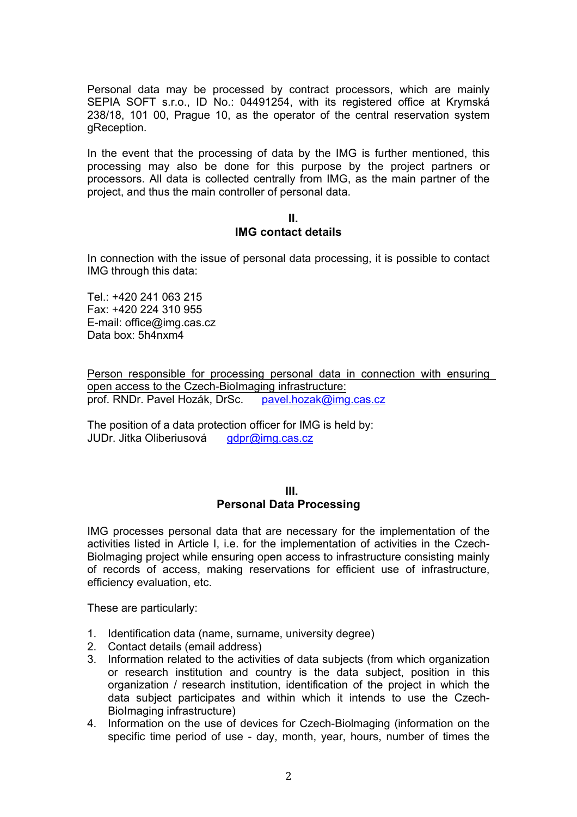Personal data may be processed by contract processors, which are mainly SEPIA SOFT s.r.o., ID No.: 04491254, with its registered office at Krymská 238/18, 101 00, Prague 10, as the operator of the central reservation system gReception.

In the event that the processing of data by the IMG is further mentioned, this processing may also be done for this purpose by the project partners or processors. All data is collected centrally from IMG, as the main partner of the project, and thus the main controller of personal data.

#### **II.**

## **IMG contact details**

In connection with the issue of personal data processing, it is possible to contact IMG through this data:

Tel.: +420 241 063 215 Fax: +420 224 310 955 E-mail: office@img.cas.cz Data box: 5h4nxm4

Person responsible for processing personal data in connection with ensuring open access to the Czech-BioImaging infrastructure: prof. RNDr. Pavel Hozák, DrSc. pavel.hozak@img.cas.cz

The position of a data protection officer for IMG is held by: JUDr. Jitka Oliberiusová gdpr@img.cas.cz

#### **III. Personal Data Processing**

IMG processes personal data that are necessary for the implementation of the activities listed in Article I, i.e. for the implementation of activities in the Czech-Biolmaging project while ensuring open access to infrastructure consisting mainly of records of access, making reservations for efficient use of infrastructure, efficiency evaluation, etc.

These are particularly:

- 1. Identification data (name, surname, university degree)
- 2. Contact details (email address)
- 3. Information related to the activities of data subjects (from which organization or research institution and country is the data subject, position in this organization / research institution, identification of the project in which the data subject participates and within which it intends to use the Czech-BioImaging infrastructure)
- 4. Information on the use of devices for Czech-Biolmaging (information on the specific time period of use - day, month, year, hours, number of times the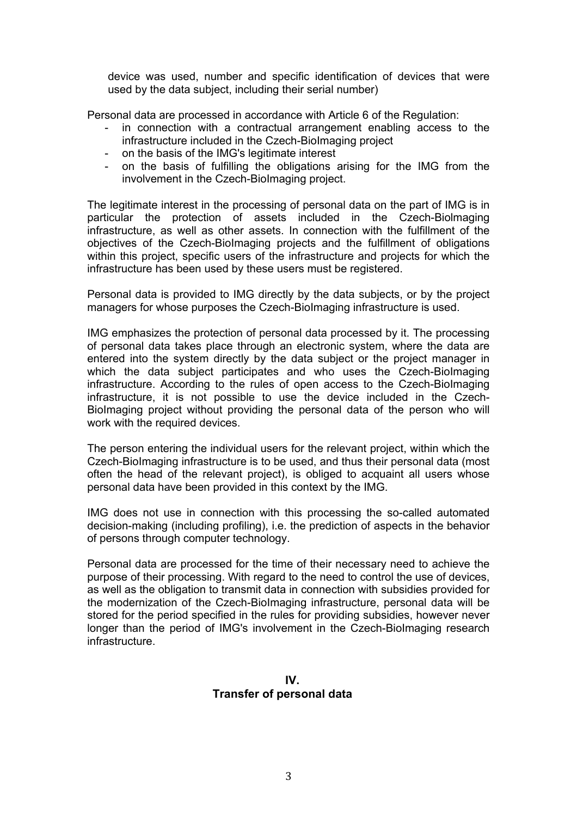device was used, number and specific identification of devices that were used by the data subject, including their serial number)

Personal data are processed in accordance with Article 6 of the Regulation:

- in connection with a contractual arrangement enabling access to the infrastructure included in the Czech-BioImaging project
- on the basis of the IMG's legitimate interest
- on the basis of fulfilling the obligations arising for the IMG from the involvement in the Czech-BioImaging project.

The legitimate interest in the processing of personal data on the part of IMG is in particular the protection of assets included in the Czech-Biolmaging infrastructure, as well as other assets. In connection with the fulfillment of the objectives of the Czech-BioImaging projects and the fulfillment of obligations within this project, specific users of the infrastructure and projects for which the infrastructure has been used by these users must be registered.

Personal data is provided to IMG directly by the data subjects, or by the project managers for whose purposes the Czech-BioImaging infrastructure is used.

IMG emphasizes the protection of personal data processed by it. The processing of personal data takes place through an electronic system, where the data are entered into the system directly by the data subject or the project manager in which the data subject participates and who uses the Czech-Biolmaging infrastructure. According to the rules of open access to the Czech-BioImaging infrastructure, it is not possible to use the device included in the Czech-BioImaging project without providing the personal data of the person who will work with the required devices.

The person entering the individual users for the relevant project, within which the Czech-BioImaging infrastructure is to be used, and thus their personal data (most often the head of the relevant project), is obliged to acquaint all users whose personal data have been provided in this context by the IMG.

IMG does not use in connection with this processing the so-called automated decision-making (including profiling), i.e. the prediction of aspects in the behavior of persons through computer technology.

Personal data are processed for the time of their necessary need to achieve the purpose of their processing. With regard to the need to control the use of devices, as well as the obligation to transmit data in connection with subsidies provided for the modernization of the Czech-BioImaging infrastructure, personal data will be stored for the period specified in the rules for providing subsidies, however never longer than the period of IMG's involvement in the Czech-BioImaging research infrastructure.

**IV. Transfer of personal data**